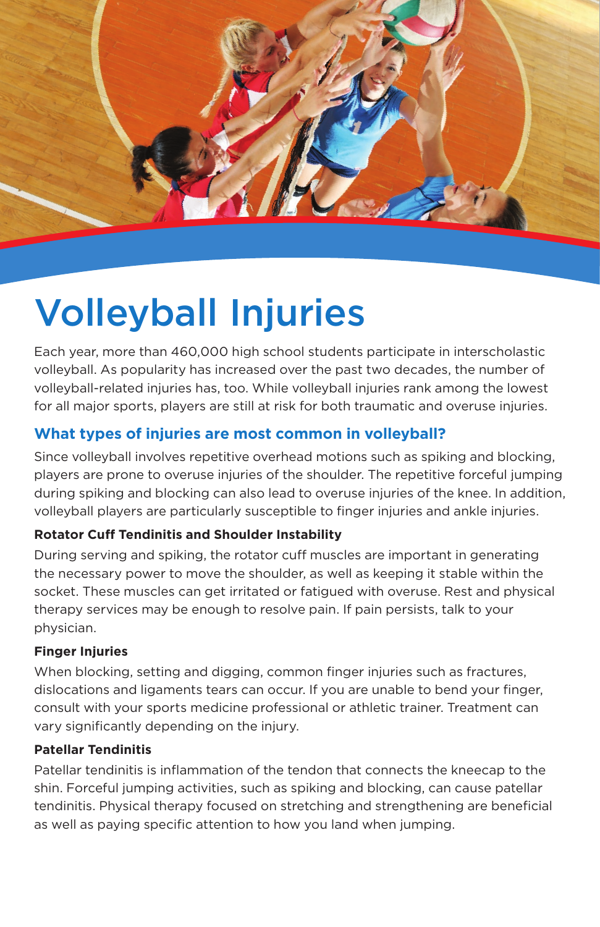

# Volleyball Injuries

Each year, more than 460,000 high school students participate in interscholastic volleyball. As popularity has increased over the past two decades, the number of volleyball-related injuries has, too. While volleyball injuries rank among the lowest for all major sports, players are still at risk for both traumatic and overuse injuries.

# **What types of injuries are most common in volleyball?**

Since volleyball involves repetitive overhead motions such as spiking and blocking, players are prone to overuse injuries of the shoulder. The repetitive forceful jumping during spiking and blocking can also lead to overuse injuries of the knee. In addition, volleyball players are particularly susceptible to finger injuries and ankle injuries.

# **Rotator Cuff Tendinitis and Shoulder Instability**

During serving and spiking, the rotator cuff muscles are important in generating the necessary power to move the shoulder, as well as keeping it stable within the socket. These muscles can get irritated or fatigued with overuse. Rest and physical therapy services may be enough to resolve pain. If pain persists, talk to your physician.

#### **Finger Injuries**

When blocking, setting and digging, common finger injuries such as fractures, dislocations and ligaments tears can occur. If you are unable to bend your finger, consult with your sports medicine professional or athletic trainer. Treatment can vary significantly depending on the injury.

#### **Patellar Tendinitis**

Patellar tendinitis is inflammation of the tendon that connects the kneecap to the shin. Forceful jumping activities, such as spiking and blocking, can cause patellar tendinitis. Physical therapy focused on stretching and strengthening are beneficial as well as paying specific attention to how you land when jumping.